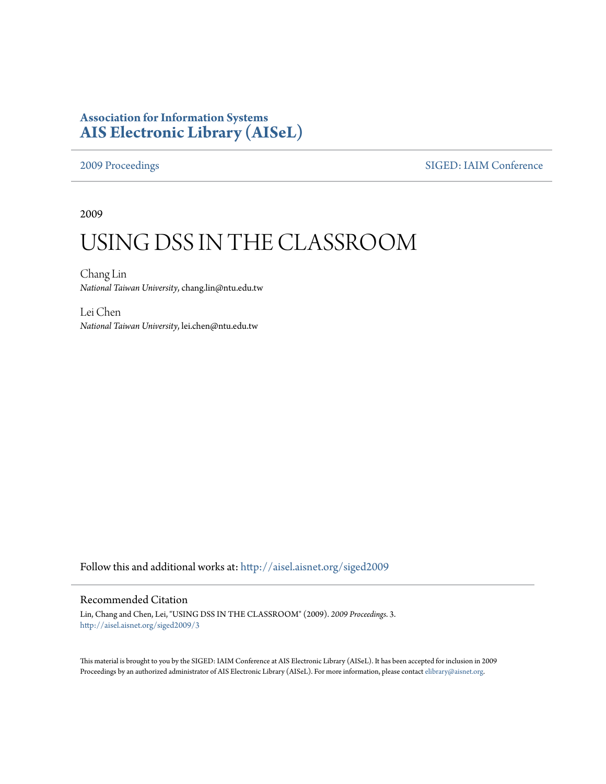## **Association for Information Systems [AIS Electronic Library \(AISeL\)](http://aisel.aisnet.org?utm_source=aisel.aisnet.org%2Fsiged2009%2F3&utm_medium=PDF&utm_campaign=PDFCoverPages)**

#### [2009 Proceedings](http://aisel.aisnet.org/siged2009?utm_source=aisel.aisnet.org%2Fsiged2009%2F3&utm_medium=PDF&utm_campaign=PDFCoverPages) [SIGED: IAIM Conference](http://aisel.aisnet.org/siged?utm_source=aisel.aisnet.org%2Fsiged2009%2F3&utm_medium=PDF&utm_campaign=PDFCoverPages)

2009

# USING DSS IN THE CLASSROOM

Chang Lin *National Taiwan University*, chang.lin@ntu.edu.tw

Lei Chen *National Taiwan University*, lei.chen@ntu.edu.tw

Follow this and additional works at: [http://aisel.aisnet.org/siged2009](http://aisel.aisnet.org/siged2009?utm_source=aisel.aisnet.org%2Fsiged2009%2F3&utm_medium=PDF&utm_campaign=PDFCoverPages)

#### Recommended Citation

Lin, Chang and Chen, Lei, "USING DSS IN THE CLASSROOM" (2009). *2009 Proceedings*. 3. [http://aisel.aisnet.org/siged2009/3](http://aisel.aisnet.org/siged2009/3?utm_source=aisel.aisnet.org%2Fsiged2009%2F3&utm_medium=PDF&utm_campaign=PDFCoverPages)

This material is brought to you by the SIGED: IAIM Conference at AIS Electronic Library (AISeL). It has been accepted for inclusion in 2009 Proceedings by an authorized administrator of AIS Electronic Library (AISeL). For more information, please contact [elibrary@aisnet.org](mailto:elibrary@aisnet.org%3E).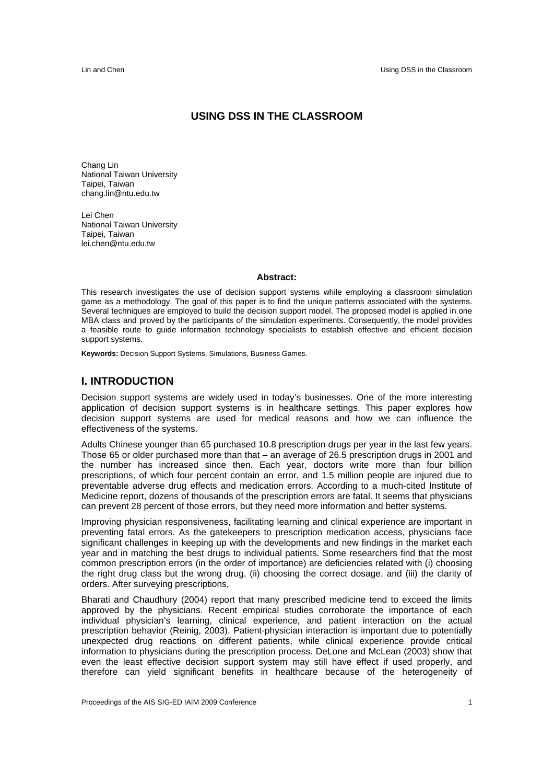#### **USING DSS IN THE CLASSROOM**

Chang Lin National Taiwan University Taipei, Taiwan chang.lin@ntu.edu.tw

Lei Chen National Taiwan University Taipei, Taiwan lei.chen@ntu.edu.tw

#### **Abstract:**

This research investigates the use of decision support systems while employing a classroom simulation game as a methodology. The goal of this paper is to find the unique patterns associated with the systems. Several techniques are employed to build the decision support model. The proposed model is applied in one MBA class and proved by the participants of the simulation experiments. Consequently, the model provides a feasible route to guide information technology specialists to establish effective and efficient decision support systems.

**Keywords:** Decision Support Systems, Simulations, Business Games.

#### **I. INTRODUCTION**

Decision support systems are widely used in today's businesses. One of the more interesting application of decision support systems is in healthcare settings. This paper explores how decision support systems are used for medical reasons and how we can influence the effectiveness of the systems.

Adults Chinese younger than 65 purchased 10.8 prescription drugs per year in the last few years. Those 65 or older purchased more than that – an average of 26.5 prescription drugs in 2001 and the number has increased since then. Each year, doctors write more than four billion prescriptions, of which four percent contain an error, and 1.5 million people are injured due to preventable adverse drug effects and medication errors. According to a much-cited Institute of Medicine report, dozens of thousands of the prescription errors are fatal. It seems that physicians can prevent 28 percent of those errors, but they need more information and better systems.

Improving physician responsiveness, facilitating learning and clinical experience are important in preventing fatal errors. As the gatekeepers to prescription medication access, physicians face significant challenges in keeping up with the developments and new findings in the market each year and in matching the best drugs to individual patients. Some researchers find that the most common prescription errors (in the order of importance) are deficiencies related with (i) choosing the right drug class but the wrong drug, (ii) choosing the correct dosage, and (iii) the clarity of orders. After surveying prescriptions,

Bharati and Chaudhury (2004) report that many prescribed medicine tend to exceed the limits approved by the physicians. Recent empirical studies corroborate the importance of each individual physician's learning, clinical experience, and patient interaction on the actual prescription behavior (Reinig, 2003). Patient-physician interaction is important due to potentially unexpected drug reactions on different patients, while clinical experience provide critical information to physicians during the prescription process. DeLone and McLean (2003) show that even the least effective decision support system may still have effect if used properly, and therefore can yield significant benefits in healthcare because of the heterogeneity of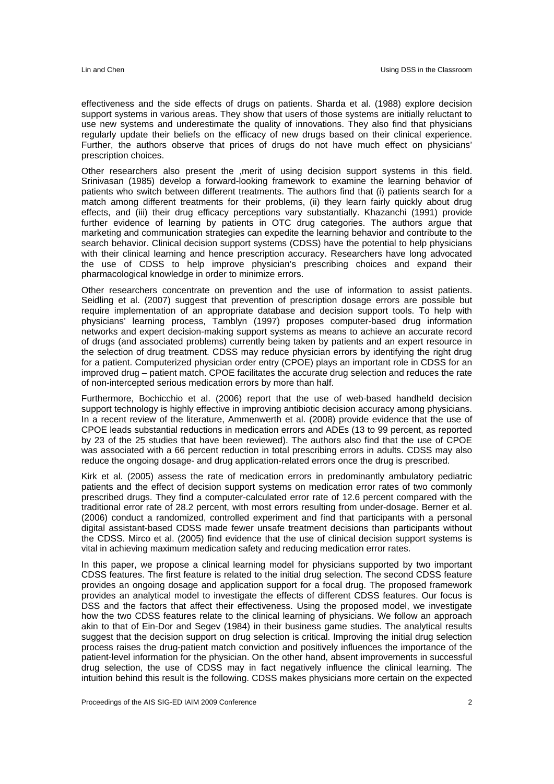effectiveness and the side effects of drugs on patients. Sharda et al. (1988) explore decision support systems in various areas. They show that users of those systems are initially reluctant to use new systems and underestimate the quality of innovations. They also find that physicians regularly update their beliefs on the efficacy of new drugs based on their clinical experience. Further, the authors observe that prices of drugs do not have much effect on physicians' prescription choices.

Other researchers also present the ,merit of using decision support systems in this field. Srinivasan (1985) develop a forward-looking framework to examine the learning behavior of patients who switch between different treatments. The authors find that (i) patients search for a match among different treatments for their problems, (ii) they learn fairly quickly about drug effects, and (iii) their drug efficacy perceptions vary substantially. Khazanchi (1991) provide further evidence of learning by patients in OTC drug categories. The authors argue that marketing and communication strategies can expedite the learning behavior and contribute to the search behavior. Clinical decision support systems (CDSS) have the potential to help physicians with their clinical learning and hence prescription accuracy. Researchers have long advocated the use of CDSS to help improve physician's prescribing choices and expand their pharmacological knowledge in order to minimize errors.

Other researchers concentrate on prevention and the use of information to assist patients. Seidling et al. (2007) suggest that prevention of prescription dosage errors are possible but require implementation of an appropriate database and decision support tools. To help with physicians' learning process, Tamblyn (1997) proposes computer-based drug information networks and expert decision-making support systems as means to achieve an accurate record of drugs (and associated problems) currently being taken by patients and an expert resource in the selection of drug treatment. CDSS may reduce physician errors by identifying the right drug for a patient. Computerized physician order entry (CPOE) plays an important role in CDSS for an improved drug – patient match. CPOE facilitates the accurate drug selection and reduces the rate of non-intercepted serious medication errors by more than half.

Furthermore, Bochicchio et al. (2006) report that the use of web-based handheld decision support technology is highly effective in improving antibiotic decision accuracy among physicians. In a recent review of the literature, Ammenwerth et al. (2008) provide evidence that the use of CPOE leads substantial reductions in medication errors and ADEs (13 to 99 percent, as reported by 23 of the 25 studies that have been reviewed). The authors also find that the use of CPOE was associated with a 66 percent reduction in total prescribing errors in adults. CDSS may also reduce the ongoing dosage- and drug application-related errors once the drug is prescribed.

Kirk et al. (2005) assess the rate of medication errors in predominantly ambulatory pediatric patients and the effect of decision support systems on medication error rates of two commonly prescribed drugs. They find a computer-calculated error rate of 12.6 percent compared with the traditional error rate of 28.2 percent, with most errors resulting from under-dosage. Berner et al. (2006) conduct a randomized, controlled experiment and find that participants with a personal digital assistant-based CDSS made fewer unsafe treatment decisions than participants without the CDSS. Mirco et al. (2005) find evidence that the use of clinical decision support systems is vital in achieving maximum medication safety and reducing medication error rates.

In this paper, we propose a clinical learning model for physicians supported by two important CDSS features. The first feature is related to the initial drug selection. The second CDSS feature provides an ongoing dosage and application support for a focal drug. The proposed framework provides an analytical model to investigate the effects of different CDSS features. Our focus is DSS and the factors that affect their effectiveness. Using the proposed model, we investigate how the two CDSS features relate to the clinical learning of physicians. We follow an approach akin to that of Ein-Dor and Segev (1984) in their business game studies. The analytical results suggest that the decision support on drug selection is critical. Improving the initial drug selection process raises the drug-patient match conviction and positively influences the importance of the patient-level information for the physician. On the other hand, absent improvements in successful drug selection, the use of CDSS may in fact negatively influence the clinical learning. The intuition behind this result is the following. CDSS makes physicians more certain on the expected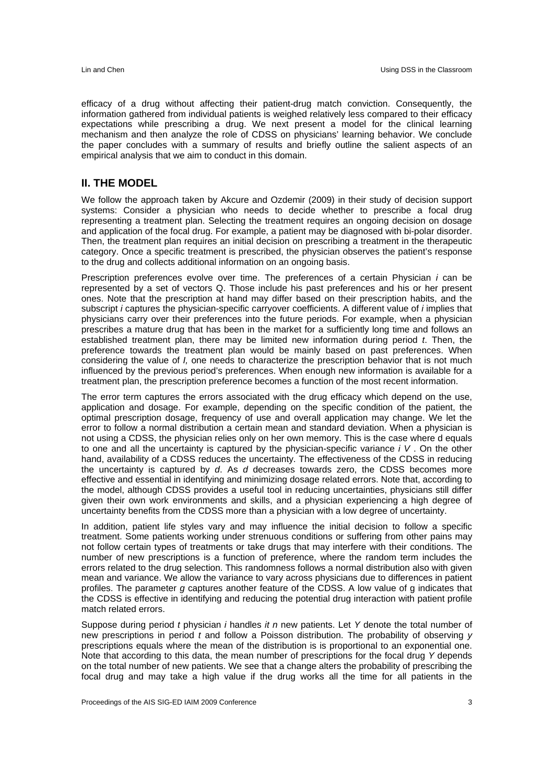efficacy of a drug without affecting their patient-drug match conviction. Consequently, the information gathered from individual patients is weighed relatively less compared to their efficacy expectations while prescribing a drug. We next present a model for the clinical learning mechanism and then analyze the role of CDSS on physicians' learning behavior. We conclude the paper concludes with a summary of results and briefly outline the salient aspects of an empirical analysis that we aim to conduct in this domain.

#### **II. THE MODEL**

We follow the approach taken by Akcure and Ozdemir (2009) in their study of decision support systems: Consider a physician who needs to decide whether to prescribe a focal drug representing a treatment plan. Selecting the treatment requires an ongoing decision on dosage and application of the focal drug. For example, a patient may be diagnosed with bi-polar disorder. Then, the treatment plan requires an initial decision on prescribing a treatment in the therapeutic category. Once a specific treatment is prescribed, the physician observes the patient's response to the drug and collects additional information on an ongoing basis.

Prescription preferences evolve over time. The preferences of a certain Physician *i* can be represented by a set of vectors Q. Those include his past preferences and his or her present ones. Note that the prescription at hand may differ based on their prescription habits, and the subscript *i* captures the physician-specific carryover coefficients. A different value of *i* implies that physicians carry over their preferences into the future periods. For example, when a physician prescribes a mature drug that has been in the market for a sufficiently long time and follows an established treatment plan, there may be limited new information during period *t*. Then, the preference towards the treatment plan would be mainly based on past preferences. When considering the value of *I,* one needs to characterize the prescription behavior that is not much influenced by the previous period's preferences. When enough new information is available for a treatment plan, the prescription preference becomes a function of the most recent information.

The error term captures the errors associated with the drug efficacy which depend on the use, application and dosage. For example, depending on the specific condition of the patient, the optimal prescription dosage, frequency of use and overall application may change. We let the error to follow a normal distribution a certain mean and standard deviation. When a physician is not using a CDSS, the physician relies only on her own memory. This is the case where d equals to one and all the uncertainty is captured by the physician-specific variance *i V* . On the other hand, availability of a CDSS reduces the uncertainty. The effectiveness of the CDSS in reducing the uncertainty is captured by *d*. As *d* decreases towards zero, the CDSS becomes more effective and essential in identifying and minimizing dosage related errors. Note that, according to the model, although CDSS provides a useful tool in reducing uncertainties, physicians still differ given their own work environments and skills, and a physician experiencing a high degree of uncertainty benefits from the CDSS more than a physician with a low degree of uncertainty.

In addition, patient life styles vary and may influence the initial decision to follow a specific treatment. Some patients working under strenuous conditions or suffering from other pains may not follow certain types of treatments or take drugs that may interfere with their conditions. The number of new prescriptions is a function of preference, where the random term includes the errors related to the drug selection. This randomness follows a normal distribution also with given mean and variance. We allow the variance to vary across physicians due to differences in patient profiles. The parameter *g* captures another feature of the CDSS. A low value of g indicates that the CDSS is effective in identifying and reducing the potential drug interaction with patient profile match related errors.

Suppose during period *t* physician *i* handles *it n* new patients. Let *Y* denote the total number of new prescriptions in period *t* and follow a Poisson distribution. The probability of observing *y*  prescriptions equals where the mean of the distribution is is proportional to an exponential one. Note that according to this data, the mean number of prescriptions for the focal drug *Y* depends on the total number of new patients. We see that a change alters the probability of prescribing the focal drug and may take a high value if the drug works all the time for all patients in the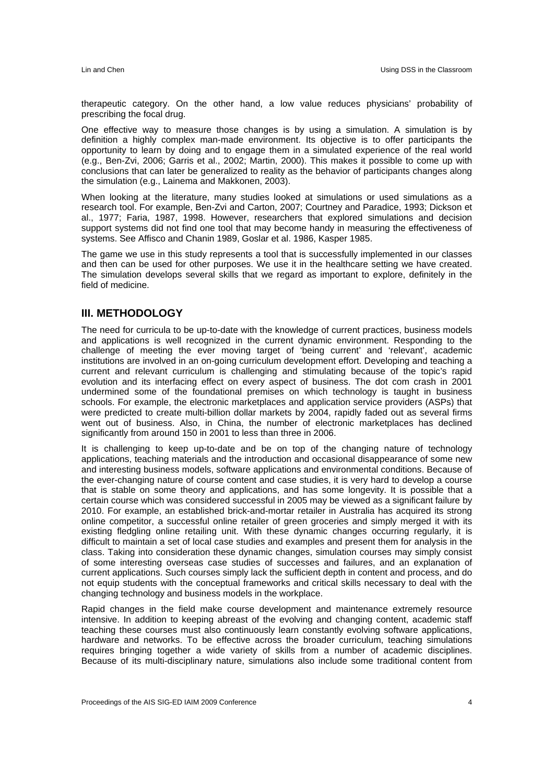therapeutic category. On the other hand, a low value reduces physicians' probability of prescribing the focal drug.

One effective way to measure those changes is by using a simulation. A simulation is by definition a highly complex man-made environment. Its objective is to offer participants the opportunity to learn by doing and to engage them in a simulated experience of the real world (e.g., Ben-Zvi, 2006; Garris et al., 2002; Martin, 2000). This makes it possible to come up with conclusions that can later be generalized to reality as the behavior of participants changes along the simulation (e.g., Lainema and Makkonen, 2003).

When looking at the literature, many studies looked at simulations or used simulations as a research tool. For example, Ben-Zvi and Carton, 2007; Courtney and Paradice, 1993; Dickson et al., 1977; Faria, 1987, 1998. However, researchers that explored simulations and decision support systems did not find one tool that may become handy in measuring the effectiveness of systems. See Affisco and Chanin 1989, Goslar et al. 1986, Kasper 1985.

The game we use in this study represents a tool that is successfully implemented in our classes and then can be used for other purposes. We use it in the healthcare setting we have created. The simulation develops several skills that we regard as important to explore, definitely in the field of medicine.

#### **III. METHODOLOGY**

The need for curricula to be up-to-date with the knowledge of current practices, business models and applications is well recognized in the current dynamic environment. Responding to the challenge of meeting the ever moving target of 'being current' and 'relevant', academic institutions are involved in an on-going curriculum development effort. Developing and teaching a current and relevant curriculum is challenging and stimulating because of the topic's rapid evolution and its interfacing effect on every aspect of business. The dot com crash in 2001 undermined some of the foundational premises on which technology is taught in business schools. For example, the electronic marketplaces and application service providers (ASPs) that were predicted to create multi-billion dollar markets by 2004, rapidly faded out as several firms went out of business. Also, in China, the number of electronic marketplaces has declined significantly from around 150 in 2001 to less than three in 2006.

It is challenging to keep up-to-date and be on top of the changing nature of technology applications, teaching materials and the introduction and occasional disappearance of some new and interesting business models, software applications and environmental conditions. Because of the ever-changing nature of course content and case studies, it is very hard to develop a course that is stable on some theory and applications, and has some longevity. It is possible that a certain course which was considered successful in 2005 may be viewed as a significant failure by 2010. For example, an established brick-and-mortar retailer in Australia has acquired its strong online competitor, a successful online retailer of green groceries and simply merged it with its existing fledgling online retailing unit. With these dynamic changes occurring regularly, it is difficult to maintain a set of local case studies and examples and present them for analysis in the class. Taking into consideration these dynamic changes, simulation courses may simply consist of some interesting overseas case studies of successes and failures, and an explanation of current applications. Such courses simply lack the sufficient depth in content and process, and do not equip students with the conceptual frameworks and critical skills necessary to deal with the changing technology and business models in the workplace.

Rapid changes in the field make course development and maintenance extremely resource intensive. In addition to keeping abreast of the evolving and changing content, academic staff teaching these courses must also continuously learn constantly evolving software applications, hardware and networks. To be effective across the broader curriculum, teaching simulations requires bringing together a wide variety of skills from a number of academic disciplines. Because of its multi-disciplinary nature, simulations also include some traditional content from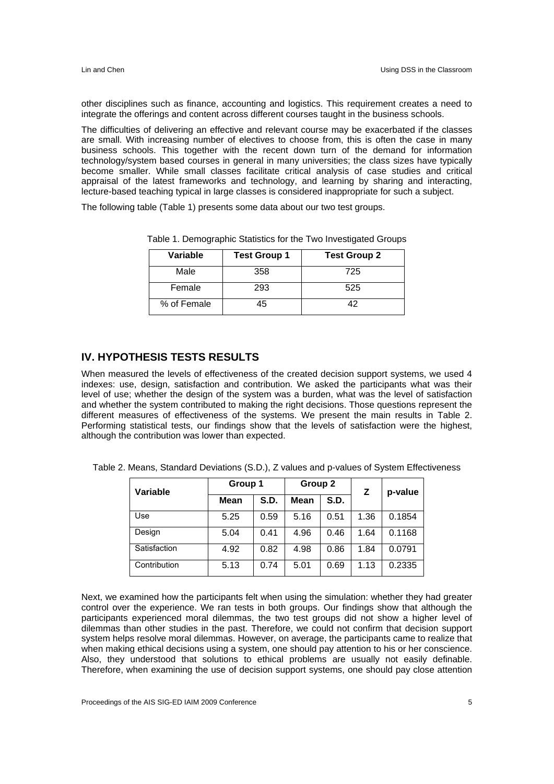other disciplines such as finance, accounting and logistics. This requirement creates a need to integrate the offerings and content across different courses taught in the business schools.

The difficulties of delivering an effective and relevant course may be exacerbated if the classes are small. With increasing number of electives to choose from, this is often the case in many business schools. This together with the recent down turn of the demand for information technology/system based courses in general in many universities; the class sizes have typically become smaller. While small classes facilitate critical analysis of case studies and critical appraisal of the latest frameworks and technology, and learning by sharing and interacting, lecture-based teaching typical in large classes is considered inappropriate for such a subject.

The following table (Table 1) presents some data about our two test groups.

| Variable    | <b>Test Group 1</b> | <b>Test Group 2</b> |
|-------------|---------------------|---------------------|
| Male        | 358                 | 725                 |
| Female      | 293                 | 525                 |
| % of Female | 45                  | 42                  |

Table 1. Demographic Statistics for the Two Investigated Groups

### **IV. HYPOTHESIS TESTS RESULTS**

When measured the levels of effectiveness of the created decision support systems, we used 4 indexes: use, design, satisfaction and contribution. We asked the participants what was their level of use; whether the design of the system was a burden, what was the level of satisfaction and whether the system contributed to making the right decisions. Those questions represent the different measures of effectiveness of the systems. We present the main results in Table 2. Performing statistical tests, our findings show that the levels of satisfaction were the highest, although the contribution was lower than expected.

| Table 2. Means, Standard Deviations (S.D.), Z values and p-values of System Effectiveness |  |  |  |  |
|-------------------------------------------------------------------------------------------|--|--|--|--|
|-------------------------------------------------------------------------------------------|--|--|--|--|

| Variable     | Group 1     |      | Group 2     |             | z    | p-value |
|--------------|-------------|------|-------------|-------------|------|---------|
|              | <b>Mean</b> | S.D. | <b>Mean</b> | <b>S.D.</b> |      |         |
| Use          | 5.25        | 0.59 | 5.16        | 0.51        | 1.36 | 0.1854  |
| Design       | 5.04        | 0.41 | 4.96        | 0.46        | 1.64 | 0.1168  |
| Satisfaction | 4.92        | 0.82 | 4.98        | 0.86        | 1.84 | 0.0791  |
| Contribution | 5.13        | 0.74 | 5.01        | 0.69        | 1.13 | 0.2335  |

Next, we examined how the participants felt when using the simulation: whether they had greater control over the experience. We ran tests in both groups. Our findings show that although the participants experienced moral dilemmas, the two test groups did not show a higher level of dilemmas than other studies in the past. Therefore, we could not confirm that decision support system helps resolve moral dilemmas. However, on average, the participants came to realize that when making ethical decisions using a system, one should pay attention to his or her conscience. Also, they understood that solutions to ethical problems are usually not easily definable. Therefore, when examining the use of decision support systems, one should pay close attention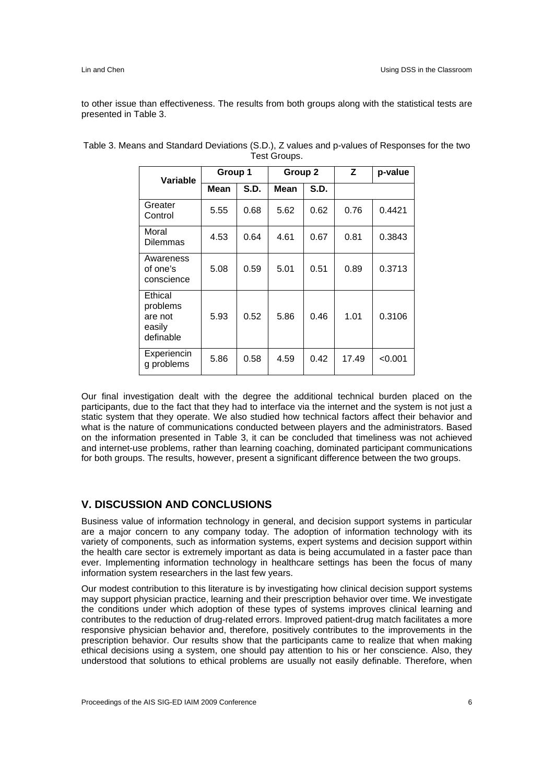to other issue than effectiveness. The results from both groups along with the statistical tests are presented in Table 3.

| <b>Variable</b>                                       | Group 1 |      | Group 2     |             | Z     | p-value |
|-------------------------------------------------------|---------|------|-------------|-------------|-------|---------|
|                                                       | Mean    | S.D. | <b>Mean</b> | <b>S.D.</b> |       |         |
| Greater<br>Control                                    | 5.55    | 0.68 | 5.62        | 0.62        | 0.76  | 0.4421  |
| Moral<br><b>Dilemmas</b>                              | 4.53    | 0.64 | 4.61        | 0.67        | 0.81  | 0.3843  |
| Awareness<br>of one's<br>conscience                   | 5.08    | 0.59 | 5.01        | 0.51        | 0.89  | 0.3713  |
| Ethical<br>problems<br>are not<br>easily<br>definable | 5.93    | 0.52 | 5.86        | 0.46        | 1.01  | 0.3106  |
| Experiencin<br>g problems                             | 5.86    | 0.58 | 4.59        | 0.42        | 17.49 | < 0.001 |

Table 3. Means and Standard Deviations (S.D.), Z values and p-values of Responses for the two Test Groups.

Our final investigation dealt with the degree the additional technical burden placed on the participants, due to the fact that they had to interface via the internet and the system is not just a static system that they operate. We also studied how technical factors affect their behavior and what is the nature of communications conducted between players and the administrators. Based on the information presented in Table 3, it can be concluded that timeliness was not achieved and internet-use problems, rather than learning coaching, dominated participant communications for both groups. The results, however, present a significant difference between the two groups.

### **V. DISCUSSION AND CONCLUSIONS**

Business value of information technology in general, and decision support systems in particular are a major concern to any company today. The adoption of information technology with its variety of components, such as information systems, expert systems and decision support within the health care sector is extremely important as data is being accumulated in a faster pace than ever. Implementing information technology in healthcare settings has been the focus of many information system researchers in the last few years.

Our modest contribution to this literature is by investigating how clinical decision support systems may support physician practice, learning and their prescription behavior over time. We investigate the conditions under which adoption of these types of systems improves clinical learning and contributes to the reduction of drug-related errors. Improved patient-drug match facilitates a more responsive physician behavior and, therefore, positively contributes to the improvements in the prescription behavior. Our results show that the participants came to realize that when making ethical decisions using a system, one should pay attention to his or her conscience. Also, they understood that solutions to ethical problems are usually not easily definable. Therefore, when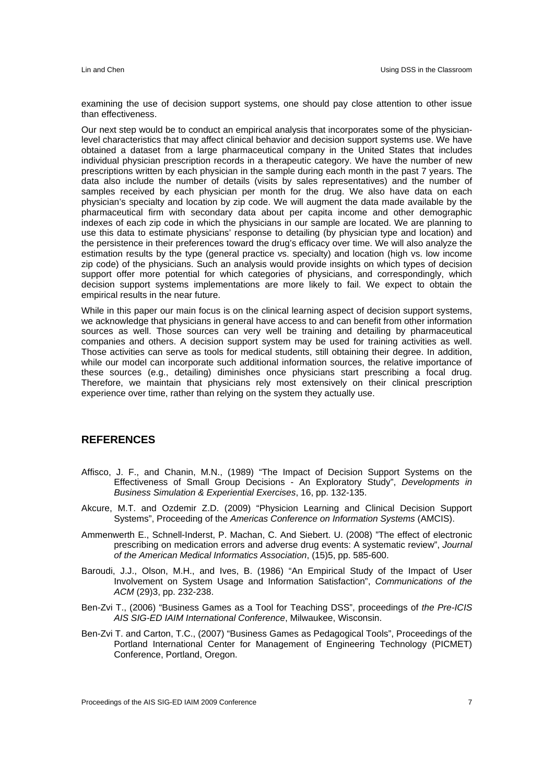examining the use of decision support systems, one should pay close attention to other issue than effectiveness.

Our next step would be to conduct an empirical analysis that incorporates some of the physicianlevel characteristics that may affect clinical behavior and decision support systems use. We have obtained a dataset from a large pharmaceutical company in the United States that includes individual physician prescription records in a therapeutic category. We have the number of new prescriptions written by each physician in the sample during each month in the past 7 years. The data also include the number of details (visits by sales representatives) and the number of samples received by each physician per month for the drug. We also have data on each physician's specialty and location by zip code. We will augment the data made available by the pharmaceutical firm with secondary data about per capita income and other demographic indexes of each zip code in which the physicians in our sample are located. We are planning to use this data to estimate physicians' response to detailing (by physician type and location) and the persistence in their preferences toward the drug's efficacy over time. We will also analyze the estimation results by the type (general practice vs. specialty) and location (high vs. low income zip code) of the physicians. Such an analysis would provide insights on which types of decision support offer more potential for which categories of physicians, and correspondingly, which decision support systems implementations are more likely to fail. We expect to obtain the empirical results in the near future.

While in this paper our main focus is on the clinical learning aspect of decision support systems, we acknowledge that physicians in general have access to and can benefit from other information sources as well. Those sources can very well be training and detailing by pharmaceutical companies and others. A decision support system may be used for training activities as well. Those activities can serve as tools for medical students, still obtaining their degree. In addition, while our model can incorporate such additional information sources, the relative importance of these sources (e.g., detailing) diminishes once physicians start prescribing a focal drug. Therefore, we maintain that physicians rely most extensively on their clinical prescription experience over time, rather than relying on the system they actually use.

#### **REFERENCES**

- Affisco, J. F., and Chanin, M.N., (1989) "The Impact of Decision Support Systems on the Effectiveness of Small Group Decisions - An Exploratory Study", *Developments in Business Simulation & Experiential Exercises*, 16, pp. 132-135.
- Akcure, M.T. and Ozdemir Z.D. (2009) "Physicion Learning and Clinical Decision Support Systems", Proceeding of the *Americas Conference on Information Systems* (AMCIS).
- Ammenwerth E., Schnell-Inderst, P. Machan, C. And Siebert. U. (2008) "The effect of electronic prescribing on medication errors and adverse drug events: A systematic review", *Journal of the American Medical Informatics Association*, (15)5, pp. 585-600.
- Baroudi, J.J., Olson, M.H., and Ives, B. (1986) "An Empirical Study of the Impact of User Involvement on System Usage and Information Satisfaction", *Communications of the ACM* (29)3, pp. 232-238.
- Ben-Zvi T., (2006) "Business Games as a Tool for Teaching DSS", proceedings of *the Pre-ICIS AIS SIG-ED IAIM International Conference*, Milwaukee, Wisconsin.
- Ben-Zvi T. and Carton, T.C., (2007) "Business Games as Pedagogical Tools", Proceedings of the Portland International Center for Management of Engineering Technology (PICMET) Conference, Portland, Oregon.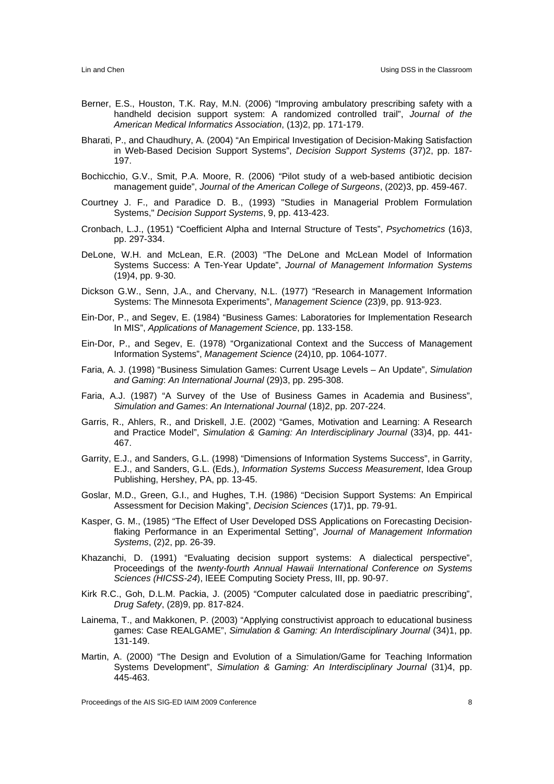- Berner, E.S., Houston, T.K. Ray, M.N. (2006) "Improving ambulatory prescribing safety with a handheld decision support system: A randomized controlled trail", *Journal of the American Medical Informatics Association*, (13)2, pp. 171-179.
- Bharati, P., and Chaudhury, A. (2004) "An Empirical Investigation of Decision-Making Satisfaction in Web-Based Decision Support Systems", *Decision Support Systems* (37)2, pp. 187- 197.
- Bochicchio, G.V., Smit, P.A. Moore, R. (2006) "Pilot study of a web-based antibiotic decision management guide", *Journal of the American College of Surgeons*, (202)3, pp. 459-467.
- Courtney J. F., and Paradice D. B., (1993) "Studies in Managerial Problem Formulation Systems," *Decision Support Systems*, 9, pp. 413-423.
- Cronbach, L.J., (1951) "Coefficient Alpha and Internal Structure of Tests", *Psychometrics* (16)3, pp. 297-334.
- DeLone, W.H. and McLean, E.R. (2003) "The DeLone and McLean Model of Information Systems Success: A Ten-Year Update", *Journal of Management Information Systems* (19)4, pp. 9-30.
- Dickson G.W., Senn, J.A., and Chervany, N.L. (1977) "Research in Management Information Systems: The Minnesota Experiments", *Management Science* (23)9, pp. 913-923.
- Ein-Dor, P., and Segev, E. (1984) "Business Games: Laboratories for Implementation Research In MIS", *Applications of Management Science*, pp. 133-158.
- Ein-Dor, P., and Segev, E. (1978) "Organizational Context and the Success of Management Information Systems", *Management Science* (24)10, pp. 1064-1077.
- Faria, A. J. (1998) "Business Simulation Games: Current Usage Levels An Update", *Simulation and Gaming*: *An International Journal* (29)3, pp. 295-308.
- Faria, A.J. (1987) "A Survey of the Use of Business Games in Academia and Business", *Simulation and Games*: *An International Journal* (18)2, pp. 207-224.
- Garris, R., Ahlers, R., and Driskell, J.E. (2002) "Games, Motivation and Learning: A Research and Practice Model", *Simulation & Gaming: An Interdisciplinary Journal* (33)4, pp. 441- 467.
- Garrity, E.J., and Sanders, G.L. (1998) "Dimensions of Information Systems Success", in Garrity, E.J., and Sanders, G.L. (Eds.), *Information Systems Success Measurement*, Idea Group Publishing, Hershey, PA, pp. 13-45.
- Goslar, M.D., Green, G.I., and Hughes, T.H. (1986) "Decision Support Systems: An Empirical Assessment for Decision Making", *Decision Sciences* (17)1, pp. 79-91.
- Kasper, G. M., (1985) "The Effect of User Developed DSS Applications on Forecasting Decisionflaking Performance in an Experimental Setting", *Journal of Management Information Systems*, (2)2, pp. 26-39.
- Khazanchi, D. (1991) "Evaluating decision support systems: A dialectical perspective", Proceedings of the *twenty-fourth Annual Hawaii International Conference on Systems Sciences (HICSS-24*), IEEE Computing Society Press, III, pp. 90-97.
- Kirk R.C., Goh, D.L.M. Packia, J. (2005) "Computer calculated dose in paediatric prescribing", *Drug Safety*, (28)9, pp. 817-824.
- Lainema, T., and Makkonen, P. (2003) "Applying constructivist approach to educational business games: Case REALGAME", *Simulation & Gaming: An Interdisciplinary Journal* (34)1, pp. 131-149.
- Martin, A. (2000) "The Design and Evolution of a Simulation/Game for Teaching Information Systems Development", *Simulation & Gaming: An Interdisciplinary Journal* (31)4, pp. 445-463.